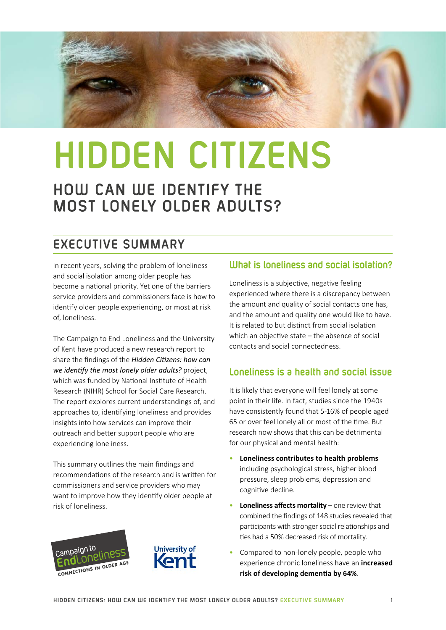

# **HIDDEN CITIZENS**

# **HOW CAN WE IDENTIFY THE MOST LONELY OLDER ADULTS?**

# **EXECUTIVE SUMMARY**

In recent years, solving the problem of loneliness and social isolation among older people has become a national priority. Yet one of the barriers service providers and commissioners face is how to identify older people experiencing, or most at risk of, loneliness.

The Campaign to End Loneliness and the University of Kent have produced a new research report to share the findings of the *Hidden Citizens: how can we identify the most lonely older adults?* project, which was funded by National Institute of Health Research (NIHR) School for Social Care Research. The report explores current understandings of, and approaches to, identifying loneliness and provides insights into how services can improve their outreach and better support people who are experiencing loneliness.

This summary outlines the main findings and recommendations of the research and is written for commissioners and service providers who may want to improve how they identify older people at risk of loneliness.





# **What is loneliness and social isolation?**

Loneliness is a subjective, negative feeling experienced where there is a discrepancy between the amount and quality of social contacts one has, and the amount and quality one would like to have. It is related to but distinct from social isolation which an objective state – the absence of social contacts and social connectedness.

## **Loneliness is a health and social issue**

It is likely that everyone will feel lonely at some point in their life. In fact, studies since the 1940s have consistently found that 5-16% of people aged 65 or over feel lonely all or most of the time. But research now shows that this can be detrimental for our physical and mental health:

- **Loneliness contributes to health problems** including psychological stress, higher blood pressure, sleep problems, depression and cognitive decline.
- **Loneliness affects mortality** one review that combined the findings of 148 studies revealed that participants with stronger social relationships and ties had a 50% decreased risk of mortality.
- Compared to non-lonely people, people who experience chronic loneliness have an **increased risk of developing dementia by 64%**.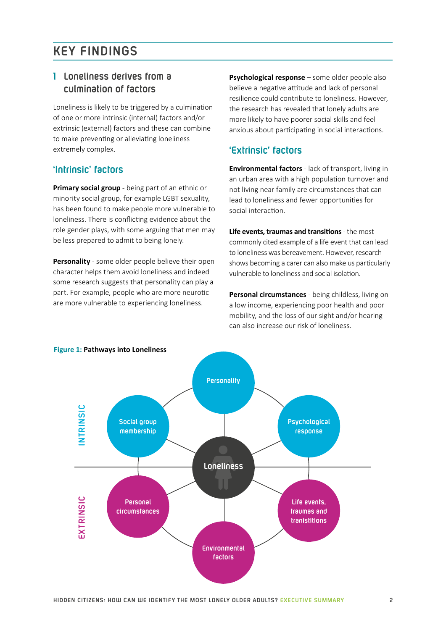# **KEY FINDINGS**

## **1 Loneliness derives from a culmination of factors**

Loneliness is likely to be triggered by a culmination of one or more intrinsic (internal) factors and/or extrinsic (external) factors and these can combine to make preventing or alleviating loneliness extremely complex.

### **'Intrinsic' factors**

**Primary social group** - being part of an ethnic or minority social group, for example LGBT sexuality, has been found to make people more vulnerable to loneliness. There is conflicting evidence about the role gender plays, with some arguing that men may be less prepared to admit to being lonely.

**Personality** - some older people believe their open character helps them avoid loneliness and indeed some research suggests that personality can play a part. For example, people who are more neurotic are more vulnerable to experiencing loneliness.

**Psychological response** – some older people also believe a negative attitude and lack of personal resilience could contribute to loneliness. However, the research has revealed that lonely adults are more likely to have poorer social skills and feel anxious about participating in social interactions.

## **'Extrinsic' factors**

**Environmental factors** - lack of transport, living in an urban area with a high population turnover and not living near family are circumstances that can lead to loneliness and fewer opportunities for social interaction.

**Life events, traumas and transitions** - the most commonly cited example of a life event that can lead to loneliness was bereavement. However, research shows becoming a carer can also make us particularly vulnerable to loneliness and social isolation.

**Personal circumstances** - being childless, living on a low income, experiencing poor health and poor mobility, and the loss of our sight and/or hearing can also increase our risk of loneliness.



#### **Figure 1: Pathways into Loneliness**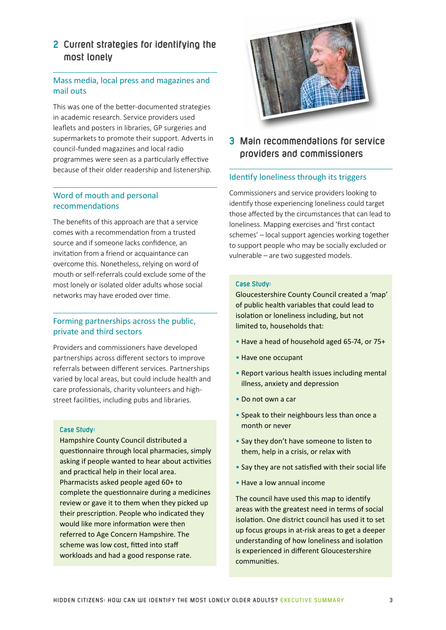# **2 Current strategies for identifying the most lonely**

#### Mass media, local press and magazines and mail outs

This was one of the better-documented strategies in academic research. Service providers used leaflets and posters in libraries, GP surgeries and supermarkets to promote their support. Adverts in council-funded magazines and local radio programmes were seen as a particularly effective because of their older readership and listenership.

#### Word of mouth and personal recommendations

The benefits of this approach are that a service comes with a recommendation from a trusted source and if someone lacks confidence, an invitation from a friend or acquaintance can overcome this. Nonetheless, relying on word of mouth or self-referrals could exclude some of the most lonely or isolated older adults whose social networks may have eroded over time.

#### Forming partnerships across the public, private and third sectors

Providers and commissioners have developed partnerships across different sectors to improve referrals between different services. Partnerships varied by local areas, but could include health and care professionals, charity volunteers and highstreet facilities, including pubs and libraries.

#### **Case Study:**

Hampshire County Council distributed a questionnaire through local pharmacies, simply asking if people wanted to hear about activities and practical help in their local area. Pharmacists asked people aged 60+ to complete the questionnaire during a medicines review or gave it to them when they picked up their prescription. People who indicated they would like more information were then referred to Age Concern Hampshire. The scheme was low cost, fitted into staff workloads and had a good response rate.



# **3 Main recommendations for service providers and commissioners**

#### Identify loneliness through its triggers

Commissioners and service providers looking to identify those experiencing loneliness could target those affected by the circumstances that can lead to loneliness. Mapping exercises and 'first contact schemes' – local support agencies working together to support people who may be socially excluded or vulnerable – are two suggested models.

#### **Case Study:**

Gloucestershire County Council created a 'map' of public health variables that could lead to isolation or loneliness including, but not limited to, households that:

- Have a head of household aged 65-74, or 75+
- Have one occupant
- Report various health issues including mental illness, anxiety and depression
- Do not own a car
- Speak to their neighbours less than once a month or never
- Say they don't have someone to listen to them, help in a crisis, or relax with
- Say they are not satisfied with their social life
- Have a low annual income

The council have used this map to identify areas with the greatest need in terms of social isolation. One district council has used it to set up focus groups in at-risk areas to get a deeper understanding of how loneliness and isolation is experienced in different Gloucestershire communities.